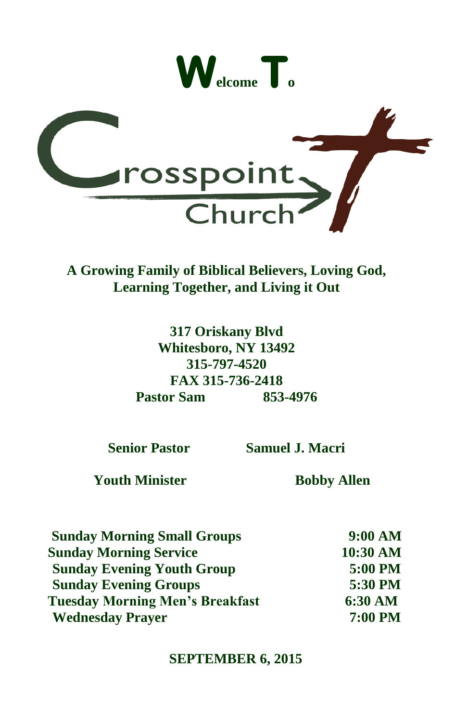



**A Growing Family of Biblical Believers, Loving God, Learning Together, and Living it Out**

> **317 Oriskany Blvd Whitesboro, NY 13492 315-797-4520 FAX 315-736-2418 Pastor Sam 853-4976**

**Senior Pastor Samuel J. Macri**

 **Youth Minister Bobby Allen**

 **Sunday Morning Small Groups 9:00 AM Sunday Morning Service 10:30 AM Sunday Evening Youth Group 5:00 PM Sunday Evening Groups 5:30 PM Tuesday Morning Men's Breakfast 6:30 AM Wednesday Prayer 7:00 PM**

#### **SEPTEMBER 6, 2015**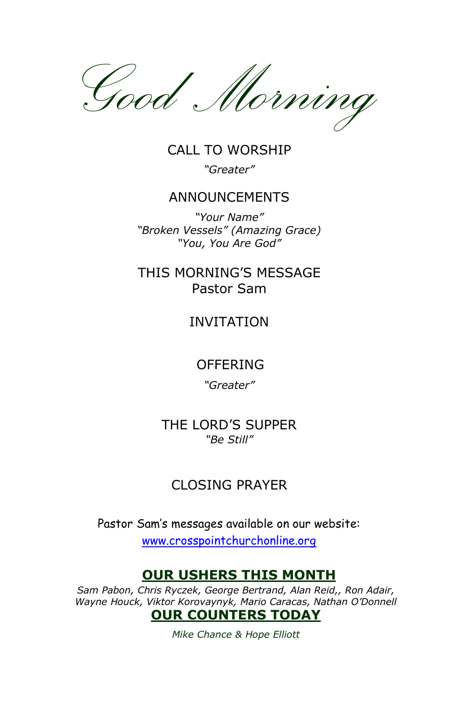

CALL TO WORSHIP *"Greater"*

#### ANNOUNCEMENTS

*"Your Name" "Broken Vessels" (Amazing Grace) "You, You Are God"*

### THIS MORNING'S MESSAGE Pastor Sam

#### INVITATION

#### OFFERING

*"Greater"*

THE LORD'S SUPPER *"Be Still"*

### CLOSING PRAYER

Pastor Sam's messages available on our website: www.crosspointchurchonline.org

### **OUR USHERS THIS MONTH**

*Sam Pabon, Chris Ryczek, George Bertrand, Alan Reid,, Ron Adair, Wayne Houck, Viktor Korovaynyk, Mario Caracas, Nathan O'Donnell* **OUR COUNTERS TODAY**

*Mike Chance & Hope Elliott*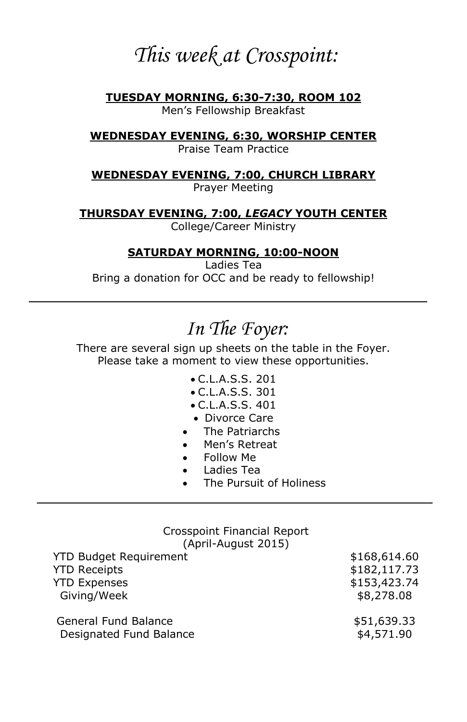## *This week at Crosspoint:*

**TUESDAY MORNING, 6:30-7:30, ROOM 102** Men's Fellowship Breakfast

**WEDNESDAY EVENING, 6:30, WORSHIP CENTER**

Praise Team Practice

**WEDNESDAY EVENING, 7:00, CHURCH LIBRARY**

Prayer Meeting

**THURSDAY EVENING, 7:00,** *LEGACY* **YOUTH CENTER** College/Career Ministry

**SATURDAY MORNING, 10:00-NOON**

Ladies Tea Bring a donation for OCC and be ready to fellowship!

# *In The Foyer:*

There are several sign up sheets on the table in the Foyer. Please take a moment to view these opportunities.

- C.L.A.S.S. 201
- C.L.A.S.S. 301
- C.L.A.S.S. 401
- Divorce Care
- The Patriarchs
- Men's Retreat
- Follow Me
- Ladies Tea
- The Pursuit of Holiness

### Crosspoint Financial Report

(April-August 2015)

| <b>YTD Budget Requirement</b> | \$168,614.60 |
|-------------------------------|--------------|
| <b>YTD Receipts</b>           | \$182,117.73 |
| <b>YTD Expenses</b>           | \$153,423.74 |
| Giving/Week                   | \$8,278.08   |
| General Fund Balance          | \$51,639.33  |
| Designated Fund Balance       | \$4,571.90   |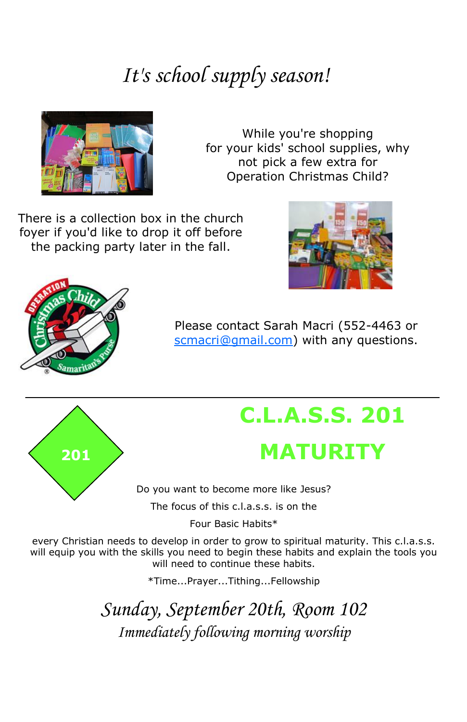# *It's school supply season!*



While you're shopping for your kids' school supplies, why not pick a few extra for Operation Christmas Child?

There is a collection box in the church foyer if you'd like to drop it off before the packing party later in the fall.





Please contact Sarah Macri (552-4463 or scmacri@gmail.com) with any questions.



# **C.L.A.S.S. 201 <sup>201</sup> MATURITY**

Do you want to become more like Jesus?

The focus of this  $c \mid a \leq s$  is on the

Four Basic Habits\*

every Christian needs to develop in order to grow to spiritual maturity. This c.l.a.s.s. will equip you with the skills you need to begin these habits and explain the tools you will need to continue these habits.

\*Time...Prayer...Tithing...Fellowship

*Sunday, September 20th, Room 102 Immediately following morning worship*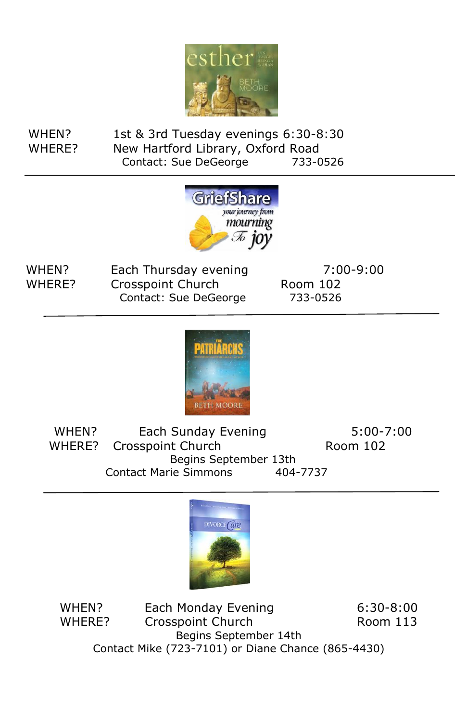

 WHEN? 1st & 3rd Tuesday evenings 6:30-8:30 WHERE? New Hartford Library, Oxford Road Contact: Sue DeGeorge 733-0526



WHEN? Each Thursday evening 7:00-9:00  $\overline{a}$  Contact: Sue DeGeorge 733-0526 WHERE? Crosspoint Church Room 102



WHEN? Each Sunday Evening 5:00-7:00 Begins September 13th<br>ie Simmons 404 WHERE? Crosspoint Church Room 102 Contact Marie Simmons 404-7737



WHEN? Each Monday Evening **6:30-8:00** ipoint Churcn<br>Begins September 14th Contact Mike (723-7101) or Diane Chance (865-4430) WHERE? Crosspoint Church Room 113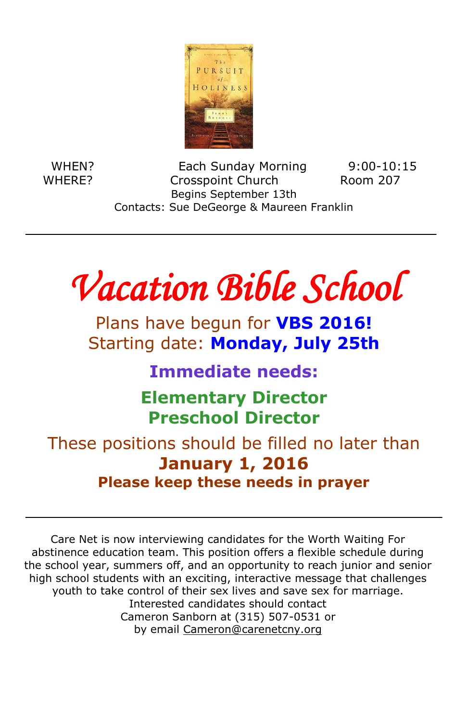

 Contacts: Sue DeGeorge & Maureen Franklin WHEN? Each Sunday Morning 9:00-10:15 WHERE? Crosspoint Church Room 207 Begins September 13th

 $\overline{\mathbf{C}}$ *Vacation Bible School* 

 $\overline{a}$ 

 Plans have begun for **VBS 2016!** Starting date: **Monday, July 25th**

**Immediate needs:**

 **Elementary Director Preschool Director**

 These positions should be filled no later than **January 1, 2016 Please keep these needs in prayer**

Ī abstinence education team. This position offers a flexible schedule during he school year, summers off, and an opportunity to reach junior and senior<br>high school students with an exciting, interactive message that challenges youth to take control of their sex lives and save sex for marriage.<br>Interested candidates should contact Cameron Sanborn at (315) 507-0531 or by email <u>Cameron@carenetcny.org</u><br>. Care Net is now interviewing candidates for the Worth Waiting For the school year, summers off, and an opportunity to reach junior and senior Interested candidates should contact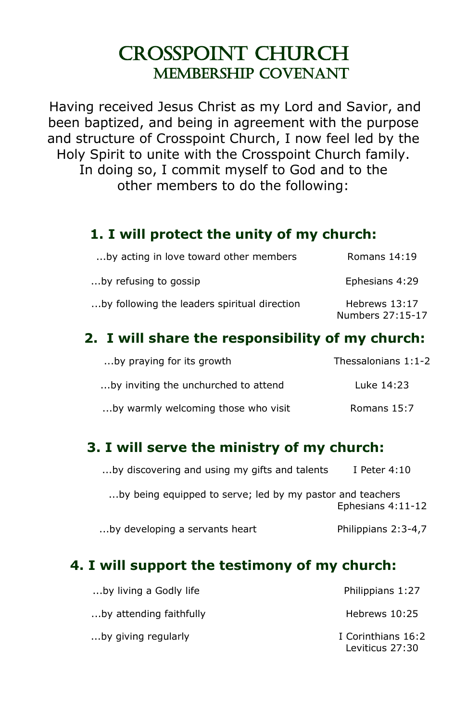## Crosspoint church Membership Covenant

Having received Jesus Christ as my Lord and Savior, and been baptized, and being in agreement with the purpose and structure of Crosspoint Church, I now feel led by the Holy Spirit to unite with the Crosspoint Church family. In doing so, I commit myself to God and to the other members to do the following:

### **1. I will protect the unity of my church:**

| by acting in love toward other members       | Romans $14:19$                    |
|----------------------------------------------|-----------------------------------|
| by refusing to gossip…                       | Ephesians 4:29                    |
| by following the leaders spiritual direction | Hebrews 13:17<br>Numbers 27:15-17 |

### **2. I will share the responsibility of my church:**

| by praying for its growth            | Thessalonians 1:1-2 |
|--------------------------------------|---------------------|
| by inviting the unchurched to attend | Luke 14:23          |
| by warmly welcoming those who visit  | Romans 15:7         |

### **3. I will serve the ministry of my church:**

| by discovering and using my gifts and talents             | I Peter $4:10$      |
|-----------------------------------------------------------|---------------------|
| by being equipped to serve; led by my pastor and teachers | Ephesians 4:11-12   |
| by developing a servants heart                            | Philippians 2:3-4,7 |

### **4. I will support the testimony of my church:**

| by living a Godly life  | Philippians 1:27                      |
|-------------------------|---------------------------------------|
| by attending faithfully | Hebrews 10:25                         |
| by giving regularly     | I Corinthians 16:2<br>Leviticus 27:30 |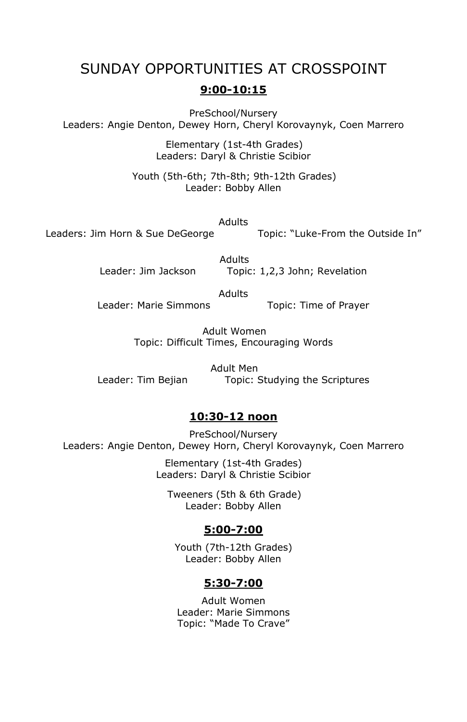#### SUNDAY OPPORTUNITIES AT CROSSPOINT

#### **9:00-10:15**

PreSchool/Nursery Leaders: Angie Denton, Dewey Horn, Cheryl Korovaynyk, Coen Marrero

> Elementary (1st-4th Grades) Leaders: Daryl & Christie Scibior

Youth (5th-6th; 7th-8th; 9th-12th Grades) Leader: Bobby Allen

Adults Leaders: Jim Horn & Sue DeGeorge Topic: "Luke-From the Outside In"

> Adults Leader: Jim Jackson Topic: 1,2,3 John; Revelation

> > Adults

Leader: Marie Simmons Topic: Time of Prayer

Adult Women Topic: Difficult Times, Encouraging Words

Adult Men Leader: Tim Bejian Topic: Studying the Scriptures

#### **10:30-12 noon**

PreSchool/Nursery Leaders: Angie Denton, Dewey Horn, Cheryl Korovaynyk, Coen Marrero

> Elementary (1st-4th Grades) Leaders: Daryl & Christie Scibior

Tweeners (5th & 6th Grade) Leader: Bobby Allen

#### **5:00-7:00**

Youth (7th-12th Grades) Leader: Bobby Allen

#### **5:30-7:00**

Adult Women Leader: Marie Simmons Topic: "Made To Crave"